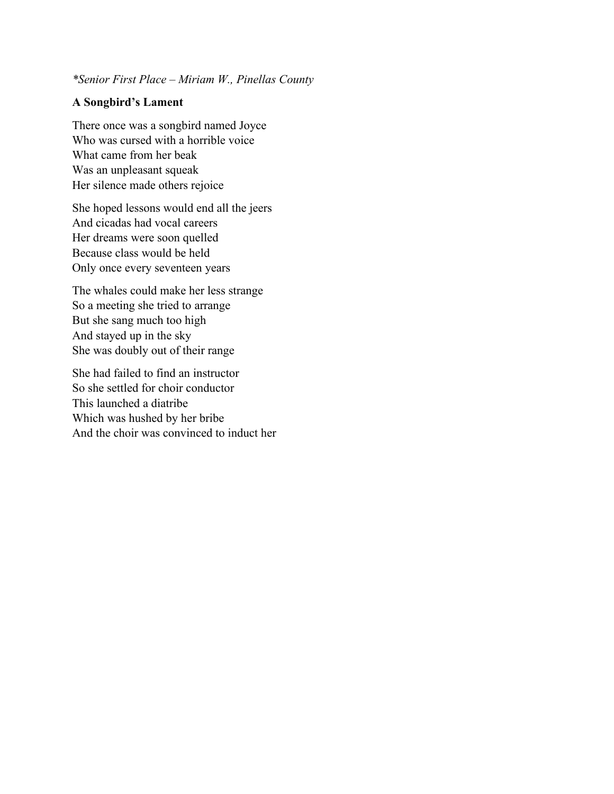## *\*Senior First Place – Miriam W., Pinellas County*

## **A Songbird's Lament**

There once was a songbird named Joyce Who was cursed with a horrible voice What came from her beak Was an unpleasant squeak Her silence made others rejoice

She hoped lessons would end all the jeers And cicadas had vocal careers Her dreams were soon quelled Because class would be held Only once every seventeen years

The whales could make her less strange So a meeting she tried to arrange But she sang much too high And stayed up in the sky She was doubly out of their range

She had failed to find an instructor So she settled for choir conductor This launched a diatribe Which was hushed by her bribe And the choir was convinced to induct her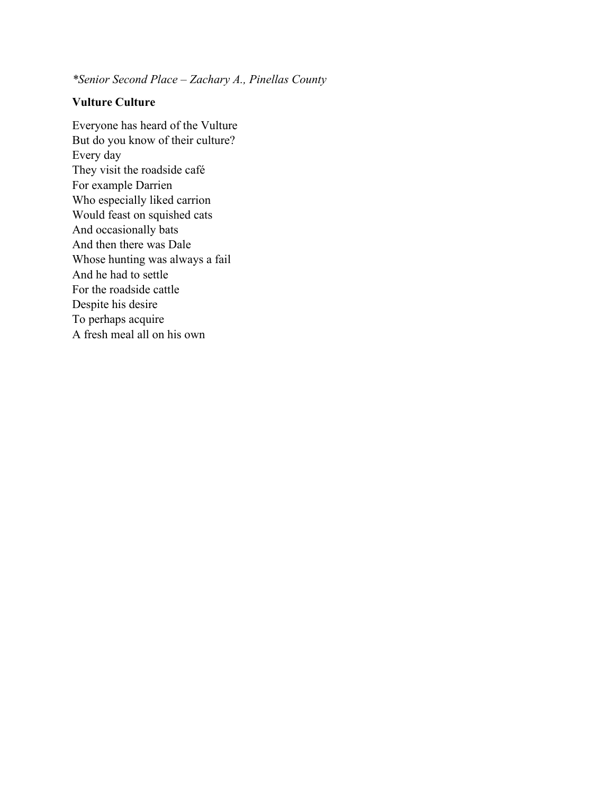*\*Senior Second Place – Zachary A., Pinellas County*

## **Vulture Culture**

Everyone has heard of the Vulture But do you know of their culture? Every day They visit the roadside café For example Darrien Who especially liked carrion Would feast on squished cats And occasionally bats And then there was Dale Whose hunting was always a fail And he had to settle For the roadside cattle Despite his desire To perhaps acquire A fresh meal all on his own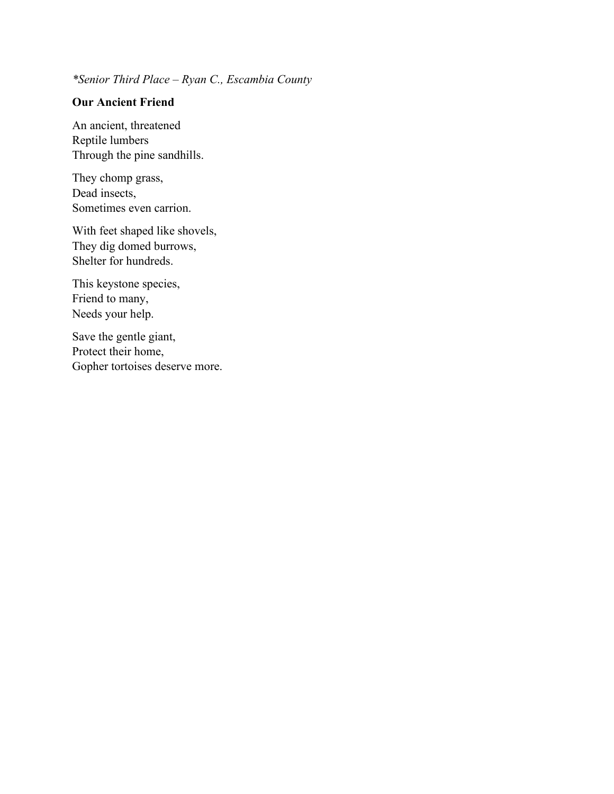*\*Senior Third Place – Ryan C., Escambia County*

# **Our Ancient Friend**

An ancient, threatened Reptile lumbers Through the pine sandhills.

They chomp grass, Dead insects, Sometimes even carrion.

With feet shaped like shovels, They dig domed burrows, Shelter for hundreds.

This keystone species, Friend to many, Needs your help.

Save the gentle giant, Protect their home, Gopher tortoises deserve more.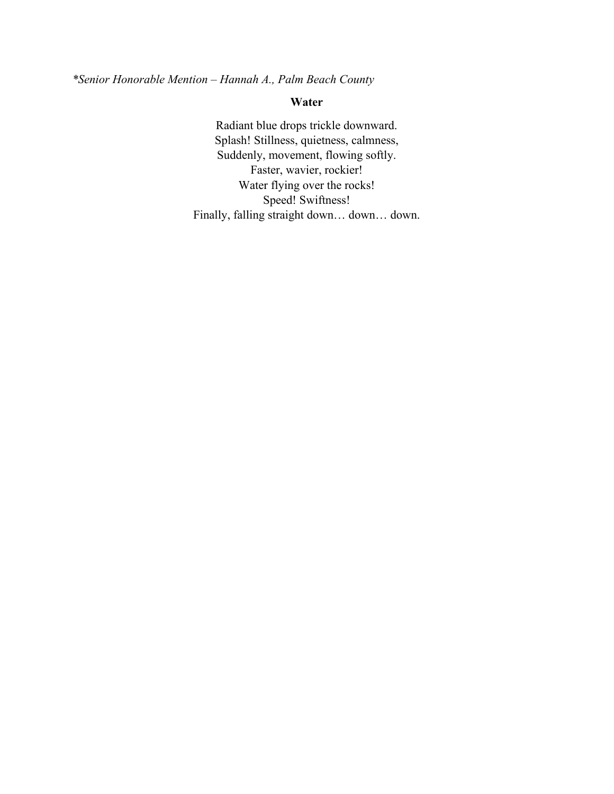*\*Senior Honorable Mention – Hannah A., Palm Beach County*

# **Water**

Radiant blue drops trickle downward. Splash! Stillness, quietness, calmness, Suddenly, movement, flowing softly. Faster, wavier, rockier! Water flying over the rocks! Speed! Swiftness! Finally, falling straight down… down… down.